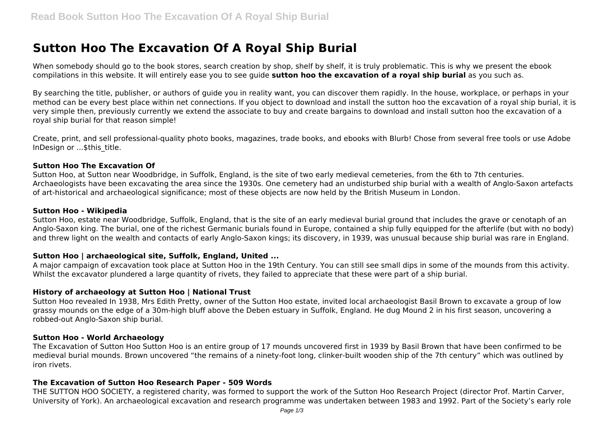# **Sutton Hoo The Excavation Of A Royal Ship Burial**

When somebody should go to the book stores, search creation by shop, shelf by shelf, it is truly problematic. This is why we present the ebook compilations in this website. It will entirely ease you to see guide **sutton hoo the excavation of a royal ship burial** as you such as.

By searching the title, publisher, or authors of guide you in reality want, you can discover them rapidly. In the house, workplace, or perhaps in your method can be every best place within net connections. If you object to download and install the sutton hoo the excavation of a royal ship burial, it is very simple then, previously currently we extend the associate to buy and create bargains to download and install sutton hoo the excavation of a royal ship burial for that reason simple!

Create, print, and sell professional-quality photo books, magazines, trade books, and ebooks with Blurb! Chose from several free tools or use Adobe InDesign or ...\$this\_title.

## **Sutton Hoo The Excavation Of**

Sutton Hoo, at Sutton near Woodbridge, in Suffolk, England, is the site of two early medieval cemeteries, from the 6th to 7th centuries. Archaeologists have been excavating the area since the 1930s. One cemetery had an undisturbed ship burial with a wealth of Anglo-Saxon artefacts of art-historical and archaeological significance; most of these objects are now held by the British Museum in London.

## **Sutton Hoo - Wikipedia**

Sutton Hoo, estate near Woodbridge, Suffolk, England, that is the site of an early medieval burial ground that includes the grave or cenotaph of an Anglo-Saxon king. The burial, one of the richest Germanic burials found in Europe, contained a ship fully equipped for the afterlife (but with no body) and threw light on the wealth and contacts of early Anglo-Saxon kings; its discovery, in 1939, was unusual because ship burial was rare in England.

# **Sutton Hoo | archaeological site, Suffolk, England, United ...**

A major campaign of excavation took place at Sutton Hoo in the 19th Century. You can still see small dips in some of the mounds from this activity. Whilst the excavator plundered a large quantity of rivets, they failed to appreciate that these were part of a ship burial.

## **History of archaeology at Sutton Hoo | National Trust**

Sutton Hoo revealed In 1938, Mrs Edith Pretty, owner of the Sutton Hoo estate, invited local archaeologist Basil Brown to excavate a group of low grassy mounds on the edge of a 30m-high bluff above the Deben estuary in Suffolk, England. He dug Mound 2 in his first season, uncovering a robbed-out Anglo-Saxon ship burial.

## **Sutton Hoo - World Archaeology**

The Excavation of Sutton Hoo Sutton Hoo is an entire group of 17 mounds uncovered first in 1939 by Basil Brown that have been confirmed to be medieval burial mounds. Brown uncovered "the remains of a ninety-foot long, clinker-built wooden ship of the 7th century" which was outlined by iron rivets.

## **The Excavation of Sutton Hoo Research Paper - 509 Words**

THE SUTTON HOO SOCIETY, a registered charity, was formed to support the work of the Sutton Hoo Research Project (director Prof. Martin Carver, University of York). An archaeological excavation and research programme was undertaken between 1983 and 1992. Part of the Society's early role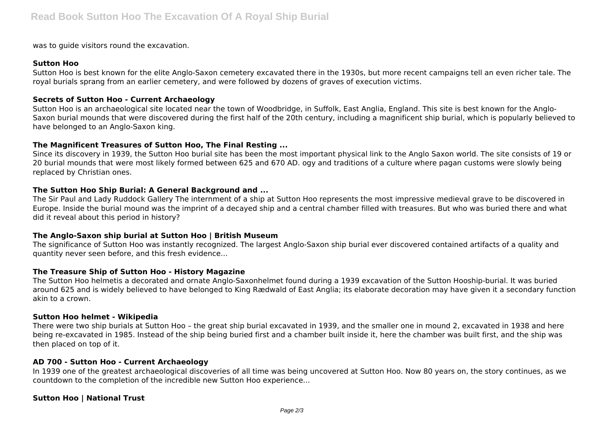was to guide visitors round the excavation.

## **Sutton Hoo**

Sutton Hoo is best known for the elite Anglo-Saxon cemetery excavated there in the 1930s, but more recent campaigns tell an even richer tale. The royal burials sprang from an earlier cemetery, and were followed by dozens of graves of execution victims.

## **Secrets of Sutton Hoo - Current Archaeology**

Sutton Hoo is an archaeological site located near the town of Woodbridge, in Suffolk, East Anglia, England. This site is best known for the Anglo-Saxon burial mounds that were discovered during the first half of the 20th century, including a magnificent ship burial, which is popularly believed to have belonged to an Anglo-Saxon king.

## **The Magnificent Treasures of Sutton Hoo, The Final Resting ...**

Since its discovery in 1939, the Sutton Hoo burial site has been the most important physical link to the Anglo Saxon world. The site consists of 19 or 20 burial mounds that were most likely formed between 625 and 670 AD. ogy and traditions of a culture where pagan customs were slowly being replaced by Christian ones.

## **The Sutton Hoo Ship Burial: A General Background and ...**

The Sir Paul and Lady Ruddock Gallery The internment of a ship at Sutton Hoo represents the most impressive medieval grave to be discovered in Europe. Inside the burial mound was the imprint of a decayed ship and a central chamber filled with treasures. But who was buried there and what did it reveal about this period in history?

## **The Anglo-Saxon ship burial at Sutton Hoo | British Museum**

The significance of Sutton Hoo was instantly recognized. The largest Anglo-Saxon ship burial ever discovered contained artifacts of a quality and quantity never seen before, and this fresh evidence...

## **The Treasure Ship of Sutton Hoo - History Magazine**

The Sutton Hoo helmetis a decorated and ornate Anglo-Saxonhelmet found during a 1939 excavation of the Sutton Hooship-burial. It was buried around 625 and is widely believed to have belonged to King Rædwald of East Anglia; its elaborate decoration may have given it a secondary function akin to a crown.

# **Sutton Hoo helmet - Wikipedia**

There were two ship burials at Sutton Hoo – the great ship burial excavated in 1939, and the smaller one in mound 2, excavated in 1938 and here being re-excavated in 1985. Instead of the ship being buried first and a chamber built inside it, here the chamber was built first, and the ship was then placed on top of it.

## **AD 700 - Sutton Hoo - Current Archaeology**

In 1939 one of the greatest archaeological discoveries of all time was being uncovered at Sutton Hoo. Now 80 years on, the story continues, as we countdown to the completion of the incredible new Sutton Hoo experience...

# **Sutton Hoo | National Trust**